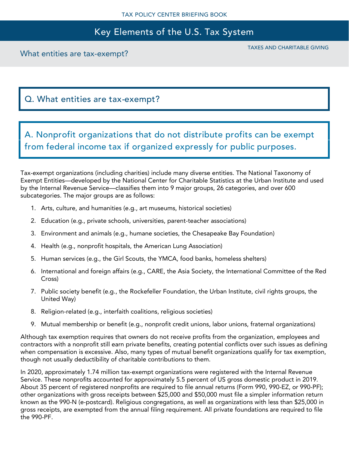# Key Elements of the U.S. Tax System

What entities are tax-exempt?

TAXES AND CHARITABLE GIVING

## Q. What entities are tax-exempt?

A. Nonprofit organizations that do not distribute profits can be exempt from federal income tax if organized expressly for public purposes.

Tax-exempt organizations (including charities) include many diverse entities. The National Taxonomy of Exempt Entities—developed by the National Center for Charitable Statistics at the Urban Institute and used by the Internal Revenue Service—classifies them into 9 major groups, 26 categories, and over 600 subcategories. The major groups are as follows:

- 1. Arts, culture, and humanities (e.g., art museums, historical societies)
- 2. Education (e.g., private schools, universities, parent-teacher associations)
- 3. Environment and animals (e.g., humane societies, the Chesapeake Bay Foundation)
- 4. Health (e.g., nonprofit hospitals, the American Lung Association)
- 5. Human services (e.g., the Girl Scouts, the YMCA, food banks, homeless shelters)
- 6. International and foreign affairs (e.g., CARE, the Asia Society, the International Committee of the Red Cross)
- 7. Public society benefit (e.g., the Rockefeller Foundation, the Urban Institute, civil rights groups, the United Way)
- 8. Religion-related (e.g., interfaith coalitions, religious societies)
- 9. Mutual membership or benefit (e.g., nonprofit credit unions, labor unions, fraternal organizations)

Although tax exemption requires that owners do not receive profits from the organization, employees and contractors with a nonprofit still earn private benefits, creating potential conflicts over such issues as defining when compensation is excessive. Also, many types of mutual benefit organizations qualify for tax exemption, though not usually deductibility of charitable contributions to them.

In 2020, approximately 1.74 million tax-exempt organizations were registered with the Internal Revenue Service. These nonprofits accounted for approximately 5.5 percent of US gross domestic product in 2019. About 35 percent of registered nonprofits are required to file annual returns (Form 990, 990-EZ, or 990-PF); other organizations with gross receipts between \$25,000 and \$50,000 must file a simpler information return known as the 990-N (e-postcard). Religious congregations, as well as organizations with less than \$25,000 in gross receipts, are exempted from the annual filing requirement. All private foundations are required to file the 990-PF.